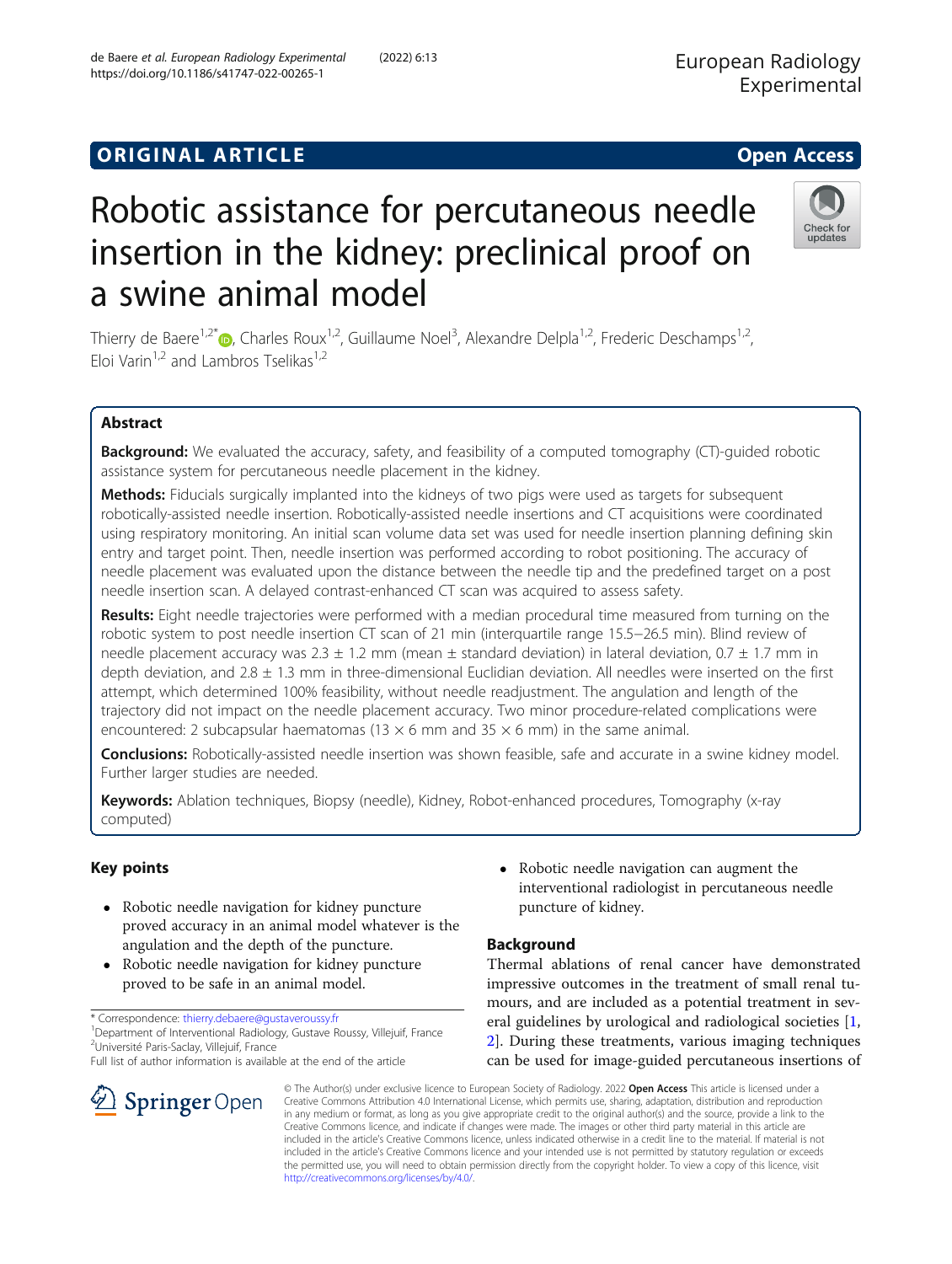# **ORIGINAL ARTICLE CONSERVANCE IN A LOCAL CONSERVANCE IN A LOCAL CONSERVANCE IN A LOCAL CONSERVANCE IN A LOCAL CONS**

# Robotic assistance for percutaneous needle insertion in the kidney: preclinical proof on a swine animal model

Thierry de Baere<sup>1,2\*</sup>®, Charles Roux<sup>1,2</sup>, Guillaume Noel<sup>3</sup>, Alexandre Delpla<sup>1,2</sup>, Frederic Deschamps<sup>1,2</sup>, Eloi Varin<sup>1,2</sup> and Lambros Tselikas<sup>1,2</sup>

# Abstract

Background: We evaluated the accuracy, safety, and feasibility of a computed tomography (CT)-guided robotic assistance system for percutaneous needle placement in the kidney.

Methods: Fiducials surgically implanted into the kidneys of two pigs were used as targets for subsequent robotically-assisted needle insertion. Robotically-assisted needle insertions and CT acquisitions were coordinated using respiratory monitoring. An initial scan volume data set was used for needle insertion planning defining skin entry and target point. Then, needle insertion was performed according to robot positioning. The accuracy of needle placement was evaluated upon the distance between the needle tip and the predefined target on a post needle insertion scan. A delayed contrast-enhanced CT scan was acquired to assess safety.

Results: Eight needle trajectories were performed with a median procedural time measured from turning on the robotic system to post needle insertion CT scan of 21 min (interquartile range 15.5−26.5 min). Blind review of needle placement accuracy was  $2.3 \pm 1.2$  mm (mean  $\pm$  standard deviation) in lateral deviation, 0.7  $\pm$  1.7 mm in depth deviation, and  $2.8 \pm 1.3$  mm in three-dimensional Euclidian deviation. All needles were inserted on the first attempt, which determined 100% feasibility, without needle readjustment. The angulation and length of the trajectory did not impact on the needle placement accuracy. Two minor procedure-related complications were encountered: 2 subcapsular haematomas (13  $\times$  6 mm and 35  $\times$  6 mm) in the same animal.

**Conclusions:** Robotically-assisted needle insertion was shown feasible, safe and accurate in a swine kidney model. Further larger studies are needed.

Keywords: Ablation techniques, Biopsy (needle), Kidney, Robot-enhanced procedures, Tomography (x-ray computed)

# Key points

- Robotic needle navigation for kidney puncture proved accuracy in an animal model whatever is the angulation and the depth of the puncture.
- Robotic needle navigation for kidney puncture proved to be safe in an animal model.

\* Correspondence: [thierry.debaere@gustaveroussy.fr](mailto:thierry.debaere@gustaveroussy.fr) <sup>1</sup>

SpringerOpen

<sup>1</sup> Department of Interventional Radiology, Gustave Roussy, Villejuif, France <sup>2</sup>Université Paris-Saclay, Villejuif, France

Full list of author information is available at the end of the article

 Robotic needle navigation can augment the interventional radiologist in percutaneous needle puncture of kidney.

# Background

Thermal ablations of renal cancer have demonstrated impressive outcomes in the treatment of small renal tumours, and are included as a potential treatment in several guidelines by urological and radiological societies [\[1](#page-6-0), [2\]](#page-6-0). During these treatments, various imaging techniques can be used for image-guided percutaneous insertions of

© The Author(s) under exclusive licence to European Society of Radiology. 2022 Open Access This article is licensed under a Creative Commons Attribution 4.0 International License, which permits use, sharing, adaptation, distribution and reproduction in any medium or format, as long as you give appropriate credit to the original author(s) and the source, provide a link to the Creative Commons licence, and indicate if changes were made. The images or other third party material in this article are included in the article's Creative Commons licence, unless indicated otherwise in a credit line to the material. If material is not included in the article's Creative Commons licence and your intended use is not permitted by statutory regulation or exceeds the permitted use, you will need to obtain permission directly from the copyright holder. To view a copy of this licence, visit [http://creativecommons.org/licenses/by/4.0/.](http://creativecommons.org/licenses/by/4.0/)

de Baere et al. European Radiology Experimental (2022) 6:13 https://doi.org/10.1186/s41747-022-00265-1

European Radiology Experimental



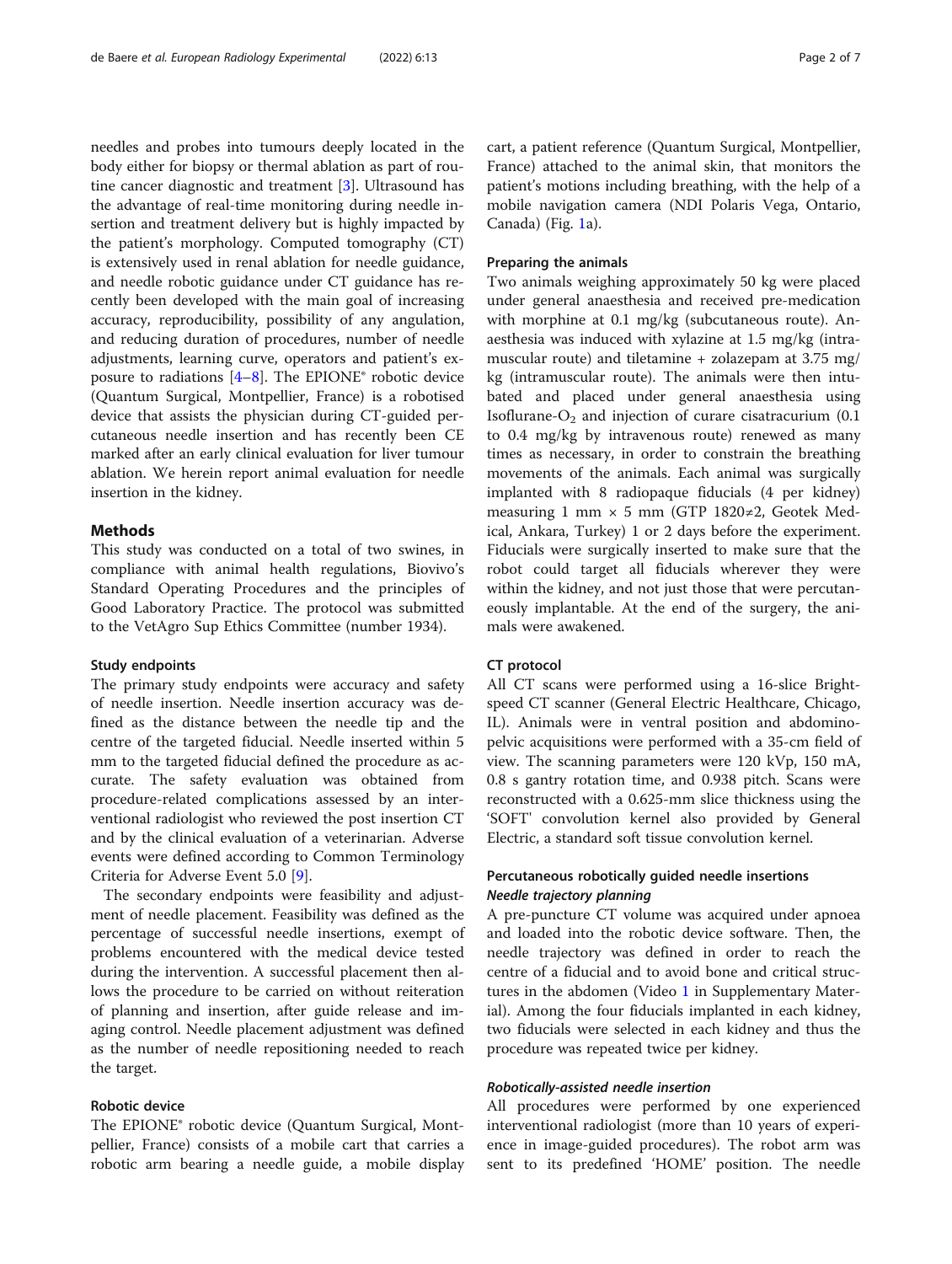needles and probes into tumours deeply located in the body either for biopsy or thermal ablation as part of routine cancer diagnostic and treatment [[3](#page-6-0)]. Ultrasound has the advantage of real-time monitoring during needle insertion and treatment delivery but is highly impacted by the patient's morphology. Computed tomography (CT) is extensively used in renal ablation for needle guidance, and needle robotic guidance under CT guidance has recently been developed with the main goal of increasing accuracy, reproducibility, possibility of any angulation, and reducing duration of procedures, number of needle adjustments, learning curve, operators and patient's exposure to radiations  $[4-8]$  $[4-8]$  $[4-8]$  $[4-8]$  $[4-8]$ . The EPIONE<sup>®</sup> robotic device (Quantum Surgical, Montpellier, France) is a robotised device that assists the physician during CT-guided percutaneous needle insertion and has recently been CE marked after an early clinical evaluation for liver tumour ablation. We herein report animal evaluation for needle insertion in the kidney.

# Methods

This study was conducted on a total of two swines, in compliance with animal health regulations, Biovivo's Standard Operating Procedures and the principles of Good Laboratory Practice. The protocol was submitted to the VetAgro Sup Ethics Committee (number 1934).

# Study endpoints

The primary study endpoints were accuracy and safety of needle insertion. Needle insertion accuracy was defined as the distance between the needle tip and the centre of the targeted fiducial. Needle inserted within 5 mm to the targeted fiducial defined the procedure as accurate. The safety evaluation was obtained from procedure-related complications assessed by an interventional radiologist who reviewed the post insertion CT and by the clinical evaluation of a veterinarian. Adverse events were defined according to Common Terminology Criteria for Adverse Event 5.0 [\[9](#page-6-0)].

The secondary endpoints were feasibility and adjustment of needle placement. Feasibility was defined as the percentage of successful needle insertions, exempt of problems encountered with the medical device tested during the intervention. A successful placement then allows the procedure to be carried on without reiteration of planning and insertion, after guide release and imaging control. Needle placement adjustment was defined as the number of needle repositioning needed to reach the target.

# Robotic device

The EPIONE® robotic device (Quantum Surgical, Montpellier, France) consists of a mobile cart that carries a robotic arm bearing a needle guide, a mobile display cart, a patient reference (Quantum Surgical, Montpellier, France) attached to the animal skin, that monitors the patient's motions including breathing, with the help of a mobile navigation camera (NDI Polaris Vega, Ontario, Canada) (Fig. [1a](#page-2-0)).

# Preparing the animals

Two animals weighing approximately 50 kg were placed under general anaesthesia and received pre-medication with morphine at 0.1 mg/kg (subcutaneous route). Anaesthesia was induced with xylazine at 1.5 mg/kg (intramuscular route) and tiletamine + zolazepam at 3.75 mg/ kg (intramuscular route). The animals were then intubated and placed under general anaesthesia using Isoflurane- $O_2$  and injection of curare cisatracurium (0.1) to 0.4 mg/kg by intravenous route) renewed as many times as necessary, in order to constrain the breathing movements of the animals. Each animal was surgically implanted with 8 radiopaque fiducials (4 per kidney) measuring 1 mm  $\times$  5 mm (GTP 1820≠2, Geotek Medical, Ankara, Turkey) 1 or 2 days before the experiment. Fiducials were surgically inserted to make sure that the robot could target all fiducials wherever they were within the kidney, and not just those that were percutaneously implantable. At the end of the surgery, the animals were awakened.

# CT protocol

All CT scans were performed using a 16-slice Brightspeed CT scanner (General Electric Healthcare, Chicago, IL). Animals were in ventral position and abdominopelvic acquisitions were performed with a 35-cm field of view. The scanning parameters were 120 kVp, 150 mA, 0.8 s gantry rotation time, and 0.938 pitch. Scans were reconstructed with a 0.625-mm slice thickness using the 'SOFT' convolution kernel also provided by General Electric, a standard soft tissue convolution kernel.

# Percutaneous robotically guided needle insertions Needle trajectory planning

A pre-puncture CT volume was acquired under apnoea and loaded into the robotic device software. Then, the needle trajectory was defined in order to reach the centre of a fiducial and to avoid bone and critical struc-tures in the abdomen (Video [1](#page-5-0) in Supplementary Material). Among the four fiducials implanted in each kidney, two fiducials were selected in each kidney and thus the procedure was repeated twice per kidney.

# Robotically-assisted needle insertion

All procedures were performed by one experienced interventional radiologist (more than 10 years of experience in image-guided procedures). The robot arm was sent to its predefined 'HOME' position. The needle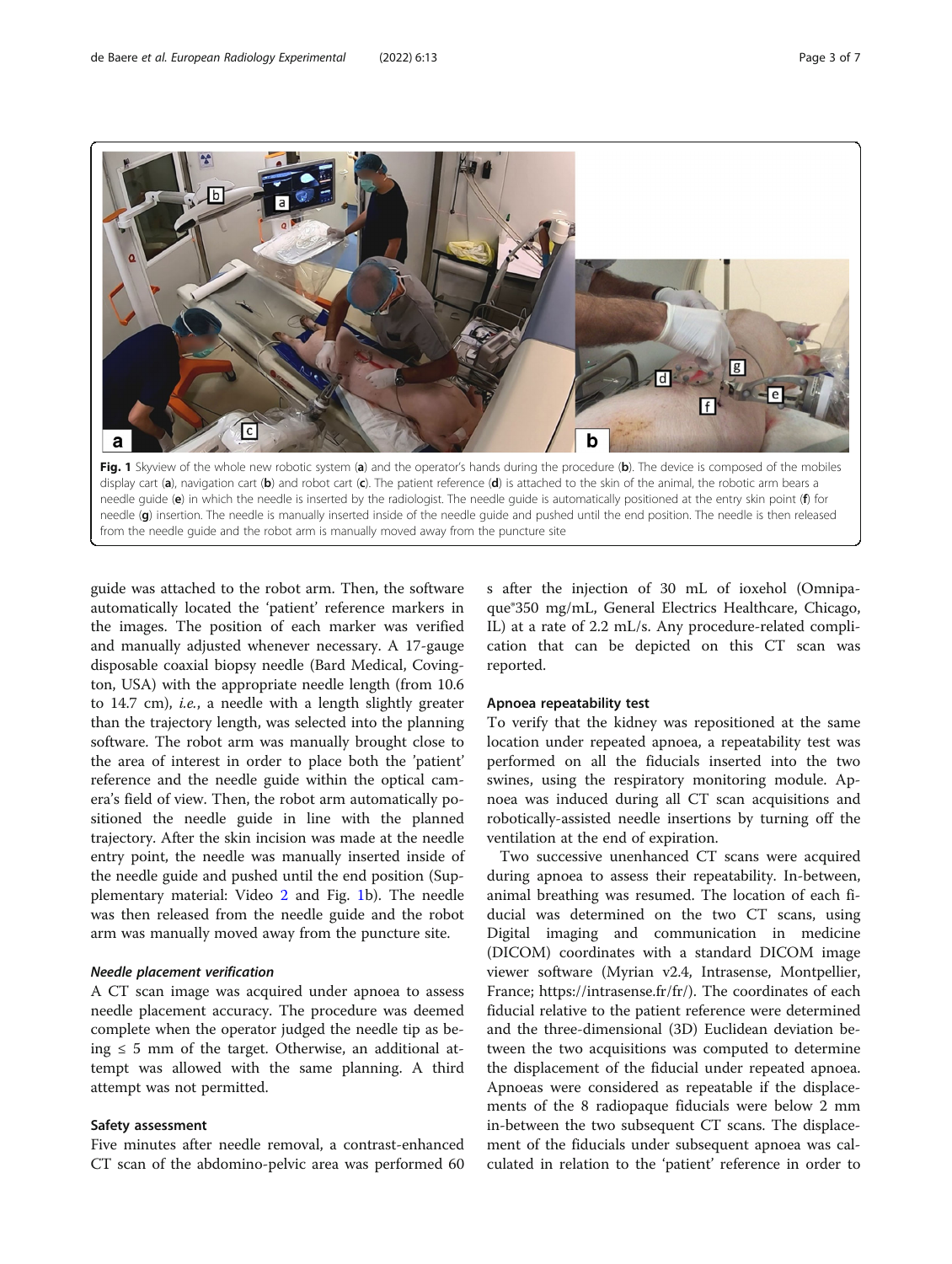<span id="page-2-0"></span>

from the needle guide and the robot arm is manually moved away from the puncture site

guide was attached to the robot arm. Then, the software automatically located the 'patient' reference markers in the images. The position of each marker was verified and manually adjusted whenever necessary. A 17-gauge disposable coaxial biopsy needle (Bard Medical, Covington, USA) with the appropriate needle length (from 10.6 to 14.7 cm), i.e., a needle with a length slightly greater than the trajectory length, was selected into the planning software. The robot arm was manually brought close to the area of interest in order to place both the 'patient' reference and the needle guide within the optical camera's field of view. Then, the robot arm automatically positioned the needle guide in line with the planned trajectory. After the skin incision was made at the needle entry point, the needle was manually inserted inside of the needle guide and pushed until the end position (Supplementary material: Video [2](#page-5-0) and Fig. 1b). The needle was then released from the needle guide and the robot arm was manually moved away from the puncture site.

#### Needle placement verification

A CT scan image was acquired under apnoea to assess needle placement accuracy. The procedure was deemed complete when the operator judged the needle tip as being ≤ 5 mm of the target. Otherwise, an additional attempt was allowed with the same planning. A third attempt was not permitted.

# Safety assessment

Five minutes after needle removal, a contrast-enhanced CT scan of the abdomino-pelvic area was performed 60

s after the injection of 30 mL of ioxehol (Omnipaque®350 mg/mL, General Electrics Healthcare, Chicago, IL) at a rate of 2.2 mL/s. Any procedure-related complication that can be depicted on this CT scan was reported.

#### Apnoea repeatability test

To verify that the kidney was repositioned at the same location under repeated apnoea, a repeatability test was performed on all the fiducials inserted into the two swines, using the respiratory monitoring module. Apnoea was induced during all CT scan acquisitions and robotically-assisted needle insertions by turning off the ventilation at the end of expiration.

Two successive unenhanced CT scans were acquired during apnoea to assess their repeatability. In-between, animal breathing was resumed. The location of each fiducial was determined on the two CT scans, using Digital imaging and communication in medicine (DICOM) coordinates with a standard DICOM image viewer software (Myrian v2.4, Intrasense, Montpellier, France; https://intrasense.fr/fr/). The coordinates of each fiducial relative to the patient reference were determined and the three-dimensional (3D) Euclidean deviation between the two acquisitions was computed to determine the displacement of the fiducial under repeated apnoea. Apnoeas were considered as repeatable if the displacements of the 8 radiopaque fiducials were below 2 mm in-between the two subsequent CT scans. The displacement of the fiducials under subsequent apnoea was calculated in relation to the 'patient' reference in order to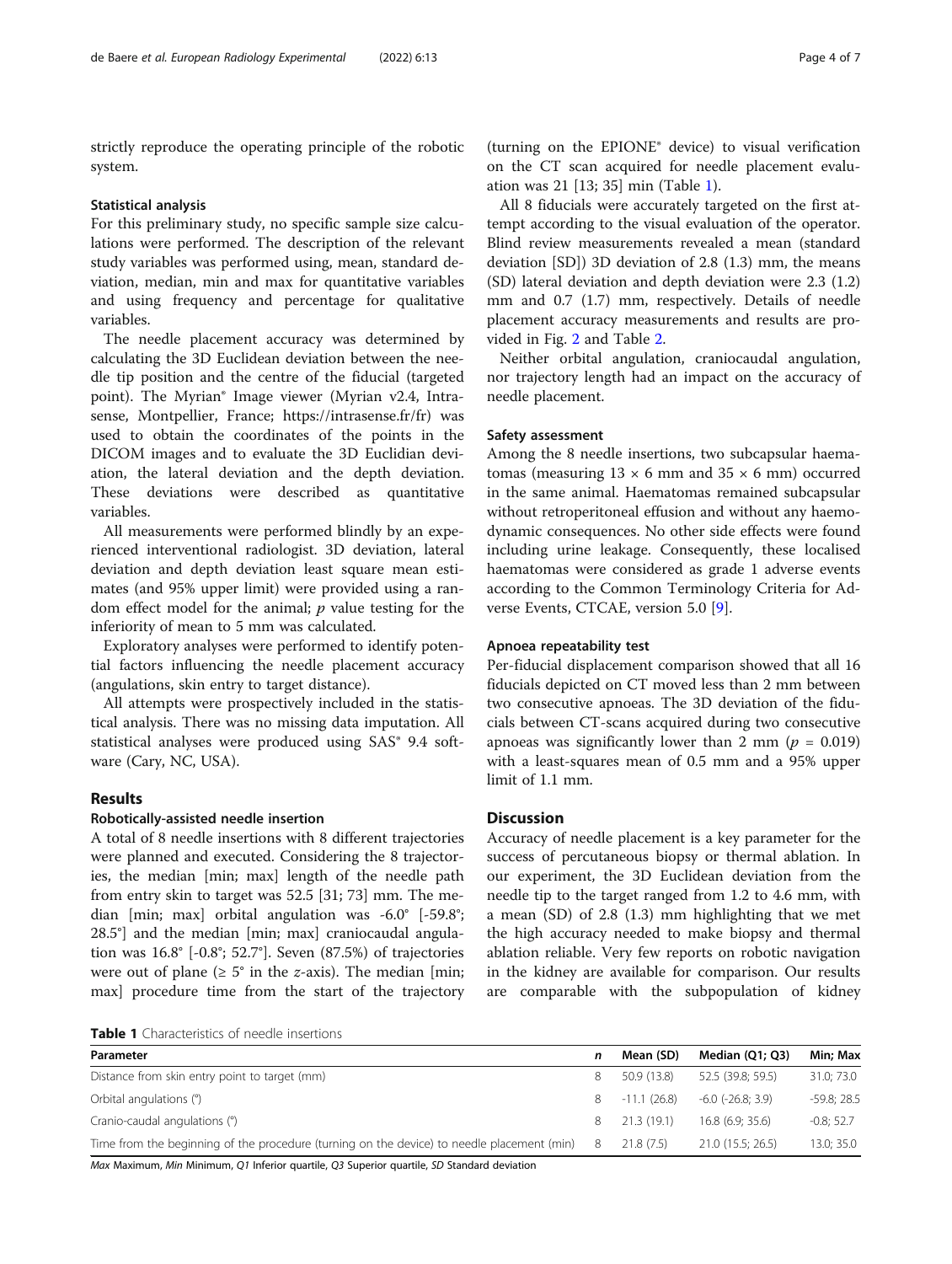strictly reproduce the operating principle of the robotic system.

#### Statistical analysis

For this preliminary study, no specific sample size calculations were performed. The description of the relevant study variables was performed using, mean, standard deviation, median, min and max for quantitative variables and using frequency and percentage for qualitative variables.

The needle placement accuracy was determined by calculating the 3D Euclidean deviation between the needle tip position and the centre of the fiducial (targeted point). The Myrian® Image viewer (Myrian v2.4, Intrasense, Montpellier, France; https://intrasense.fr/fr) was used to obtain the coordinates of the points in the DICOM images and to evaluate the 3D Euclidian deviation, the lateral deviation and the depth deviation. These deviations were described as quantitative variables.

All measurements were performed blindly by an experienced interventional radiologist. 3D deviation, lateral deviation and depth deviation least square mean estimates (and 95% upper limit) were provided using a random effect model for the animal;  $p$  value testing for the inferiority of mean to 5 mm was calculated.

Exploratory analyses were performed to identify potential factors influencing the needle placement accuracy (angulations, skin entry to target distance).

All attempts were prospectively included in the statistical analysis. There was no missing data imputation. All statistical analyses were produced using SAS® 9.4 software (Cary, NC, USA).

# Results

# Robotically-assisted needle insertion

A total of 8 needle insertions with 8 different trajectories were planned and executed. Considering the 8 trajectories, the median [min; max] length of the needle path from entry skin to target was 52.5 [31; 73] mm. The median [min; max] orbital angulation was -6.0° [-59.8°; 28.5°] and the median [min; max] craniocaudal angulation was 16.8° [-0.8°; 52.7°]. Seven (87.5%) of trajectories were out of plane ( $\geq 5^{\circ}$  in the *z*-axis). The median [min; max] procedure time from the start of the trajectory

(turning on the EPIONE® device) to visual verification on the CT scan acquired for needle placement evaluation was 21 [13; 35] min (Table 1).

All 8 fiducials were accurately targeted on the first attempt according to the visual evaluation of the operator. Blind review measurements revealed a mean (standard deviation [SD]) 3D deviation of 2.8 (1.3) mm, the means (SD) lateral deviation and depth deviation were 2.3 (1.2) mm and 0.7 (1.7) mm, respectively. Details of needle placement accuracy measurements and results are provided in Fig. [2](#page-4-0) and Table [2.](#page-4-0)

Neither orbital angulation, craniocaudal angulation, nor trajectory length had an impact on the accuracy of needle placement.

# Safety assessment

Among the 8 needle insertions, two subcapsular haematomas (measuring  $13 \times 6$  mm and  $35 \times 6$  mm) occurred in the same animal. Haematomas remained subcapsular without retroperitoneal effusion and without any haemodynamic consequences. No other side effects were found including urine leakage. Consequently, these localised haematomas were considered as grade 1 adverse events according to the Common Terminology Criteria for Adverse Events, CTCAE, version 5.0 [\[9](#page-6-0)].

# Apnoea repeatability test

Per-fiducial displacement comparison showed that all 16 fiducials depicted on CT moved less than 2 mm between two consecutive apnoeas. The 3D deviation of the fiducials between CT-scans acquired during two consecutive apnoeas was significantly lower than 2 mm ( $p = 0.019$ ) with a least-squares mean of 0.5 mm and a 95% upper limit of 1.1 mm.

# **Discussion**

Accuracy of needle placement is a key parameter for the success of percutaneous biopsy or thermal ablation. In our experiment, the 3D Euclidean deviation from the needle tip to the target ranged from 1.2 to 4.6 mm, with a mean (SD) of 2.8 (1.3) mm highlighting that we met the high accuracy needed to make biopsy and thermal ablation reliable. Very few reports on robotic navigation in the kidney are available for comparison. Our results are comparable with the subpopulation of kidney

Table 1 Characteristics of needle insertions

| Parameter                                                                                                                                                                                                                                                                                                                     |    | Mean (SD)     | Median $(Q1; Q3)$       | Min; Max      |
|-------------------------------------------------------------------------------------------------------------------------------------------------------------------------------------------------------------------------------------------------------------------------------------------------------------------------------|----|---------------|-------------------------|---------------|
| Distance from skin entry point to target (mm)                                                                                                                                                                                                                                                                                 |    | 50.9(13.8)    | 52.5 (39.8; 59.5)       | 31.0; 73.0    |
| Orbital angulations (°)                                                                                                                                                                                                                                                                                                       |    | $-11.1(26.8)$ | $-6.0$ ( $-26.8$ ; 3.9) | $-59.8; 28.5$ |
| Cranio-caudal angulations (°)                                                                                                                                                                                                                                                                                                 | 8  | 21.3(19.1)    | 16.8(6.9:35.6)          | $-0.8; 52.7$  |
| Time from the beginning of the procedure (turning on the device) to needle placement (min)                                                                                                                                                                                                                                    | -8 | 21.8(7.5)     | 21.0 (15.5; 26.5)       | 13.0; 35.0    |
| $M_{\rm tot}$ , $M_{\rm tot}$ , $M_{\rm tot}$ , $M_{\rm tot}$ , $M_{\rm tot}$ , $M_{\rm tot}$ , $M_{\rm tot}$ , $M_{\rm tot}$ , $M_{\rm tot}$ , $M_{\rm tot}$ , $M_{\rm tot}$ , $M_{\rm tot}$ , $M_{\rm tot}$ , $M_{\rm tot}$ , $M_{\rm tot}$ , $M_{\rm tot}$ , $M_{\rm tot}$ , $M_{\rm tot}$ , $M_{\rm tot}$ , $M_{\rm tot}$ |    |               |                         |               |

Max Maximum, Min Minimum, Q1 Inferior quartile, Q3 Superior quartile, SD Standard deviatior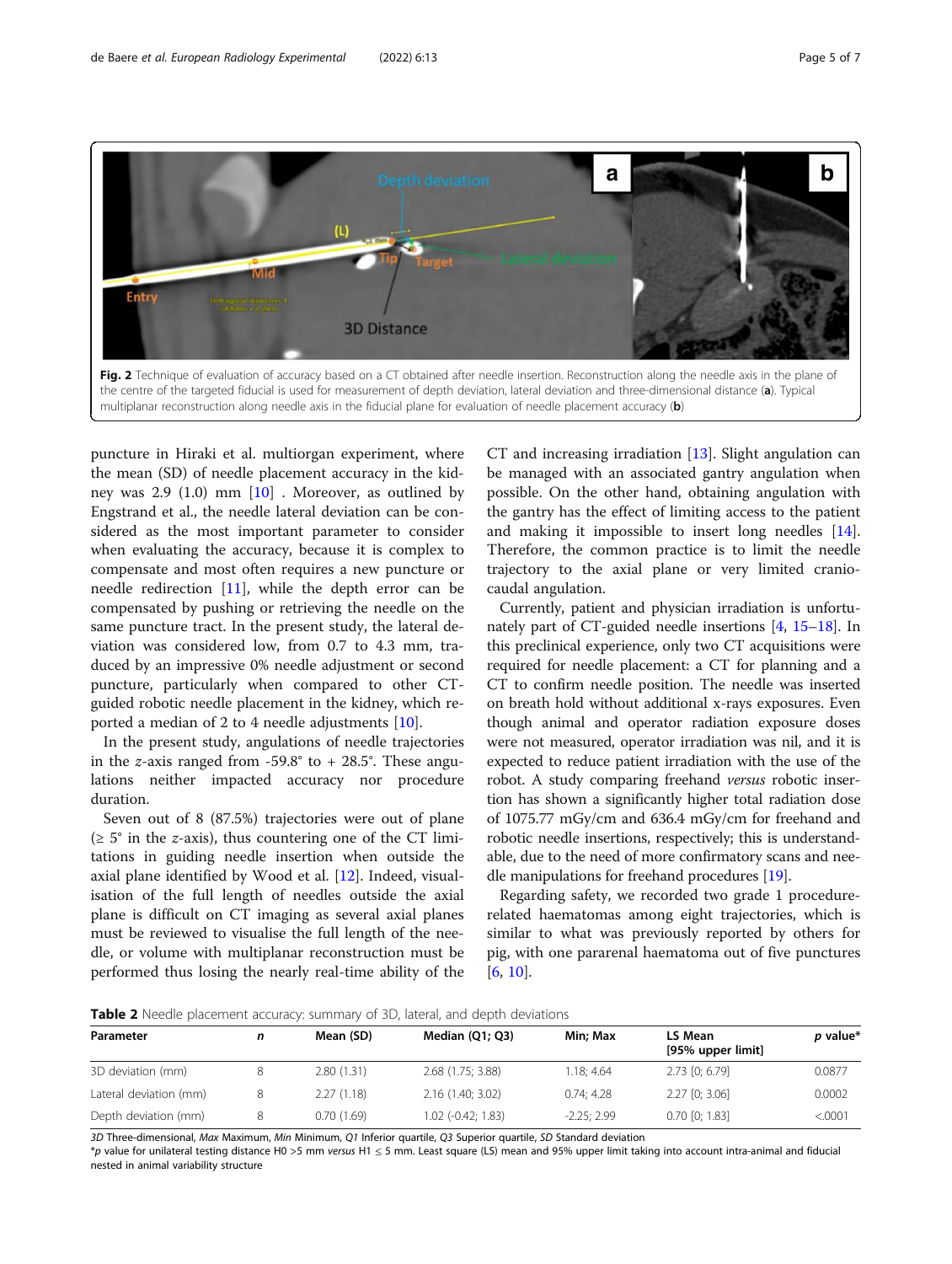<span id="page-4-0"></span>

puncture in Hiraki et al. multiorgan experiment, where the mean (SD) of needle placement accuracy in the kidney was 2.9 (1.0) mm [[10\]](#page-6-0) . Moreover, as outlined by Engstrand et al., the needle lateral deviation can be considered as the most important parameter to consider when evaluating the accuracy, because it is complex to compensate and most often requires a new puncture or needle redirection  $[11]$  $[11]$ , while the depth error can be compensated by pushing or retrieving the needle on the same puncture tract. In the present study, the lateral deviation was considered low, from 0.7 to 4.3 mm, traduced by an impressive 0% needle adjustment or second puncture, particularly when compared to other CTguided robotic needle placement in the kidney, which reported a median of 2 to 4 needle adjustments [\[10](#page-6-0)].

In the present study, angulations of needle trajectories in the *z*-axis ranged from  $-59.8^\circ$  to  $+28.5^\circ$ . These angulations neither impacted accuracy nor procedure duration.

Seven out of 8 (87.5%) trajectories were out of plane  $(\geq 5^{\circ}$  in the *z*-axis), thus countering one of the CT limitations in guiding needle insertion when outside the axial plane identified by Wood et al. [\[12](#page-6-0)]. Indeed, visualisation of the full length of needles outside the axial plane is difficult on CT imaging as several axial planes must be reviewed to visualise the full length of the needle, or volume with multiplanar reconstruction must be performed thus losing the nearly real-time ability of the

CT and increasing irradiation [\[13\]](#page-6-0). Slight angulation can be managed with an associated gantry angulation when possible. On the other hand, obtaining angulation with the gantry has the effect of limiting access to the patient and making it impossible to insert long needles [\[14](#page-6-0)]. Therefore, the common practice is to limit the needle trajectory to the axial plane or very limited craniocaudal angulation.

Currently, patient and physician irradiation is unfortunately part of CT-guided needle insertions [[4](#page-6-0), [15](#page-6-0)–[18](#page-6-0)]. In this preclinical experience, only two CT acquisitions were required for needle placement: a CT for planning and a CT to confirm needle position. The needle was inserted on breath hold without additional x-rays exposures. Even though animal and operator radiation exposure doses were not measured, operator irradiation was nil, and it is expected to reduce patient irradiation with the use of the robot. A study comparing freehand versus robotic insertion has shown a significantly higher total radiation dose of 1075.77 mGy/cm and 636.4 mGy/cm for freehand and robotic needle insertions, respectively; this is understandable, due to the need of more confirmatory scans and needle manipulations for freehand procedures [\[19](#page-6-0)].

Regarding safety, we recorded two grade 1 procedurerelated haematomas among eight trajectories, which is similar to what was previously reported by others for pig, with one pararenal haematoma out of five punctures [[6,](#page-6-0) [10\]](#page-6-0).

**Table 2** Needle placement accuracy: summary of 3D, lateral, and depth deviations

| Parameter              | n | Mean (SD)  | Median $(Q1; Q3)$  | Min: Max     | LS Mean<br>[95% upper limit] | p value* |
|------------------------|---|------------|--------------------|--------------|------------------------------|----------|
| 3D deviation (mm)      | 8 | 2.80(1.31) | 2.68 (1.75; 3.88)  | 1.18:4.64    | $2.73$ [0; 6.79]             | 0.0877   |
| Lateral deviation (mm) | 8 | 2.27(1.18) | 2.16(1.40; 3.02)   | 0.74:4.28    | $2.27$ [0; 3.06]             | 0.0002   |
| Depth deviation (mm)   | 8 | 0.70(1.69) | 1.02 (-0.42; 1.83) | $-2.25:2.99$ | $0.70$ [0; 1.83]             | < 0001   |

3D Three-dimensional, Max Maximum, Min Minimum, Q1 Inferior quartile, Q3 Superior quartile, SD Standard deviation

\*p value for unilateral testing distance H0 >5 mm versus H1 ≤ 5 mm. Least square (LS) mean and 95% upper limit taking into account intra-animal and fiducial nested in animal variability structure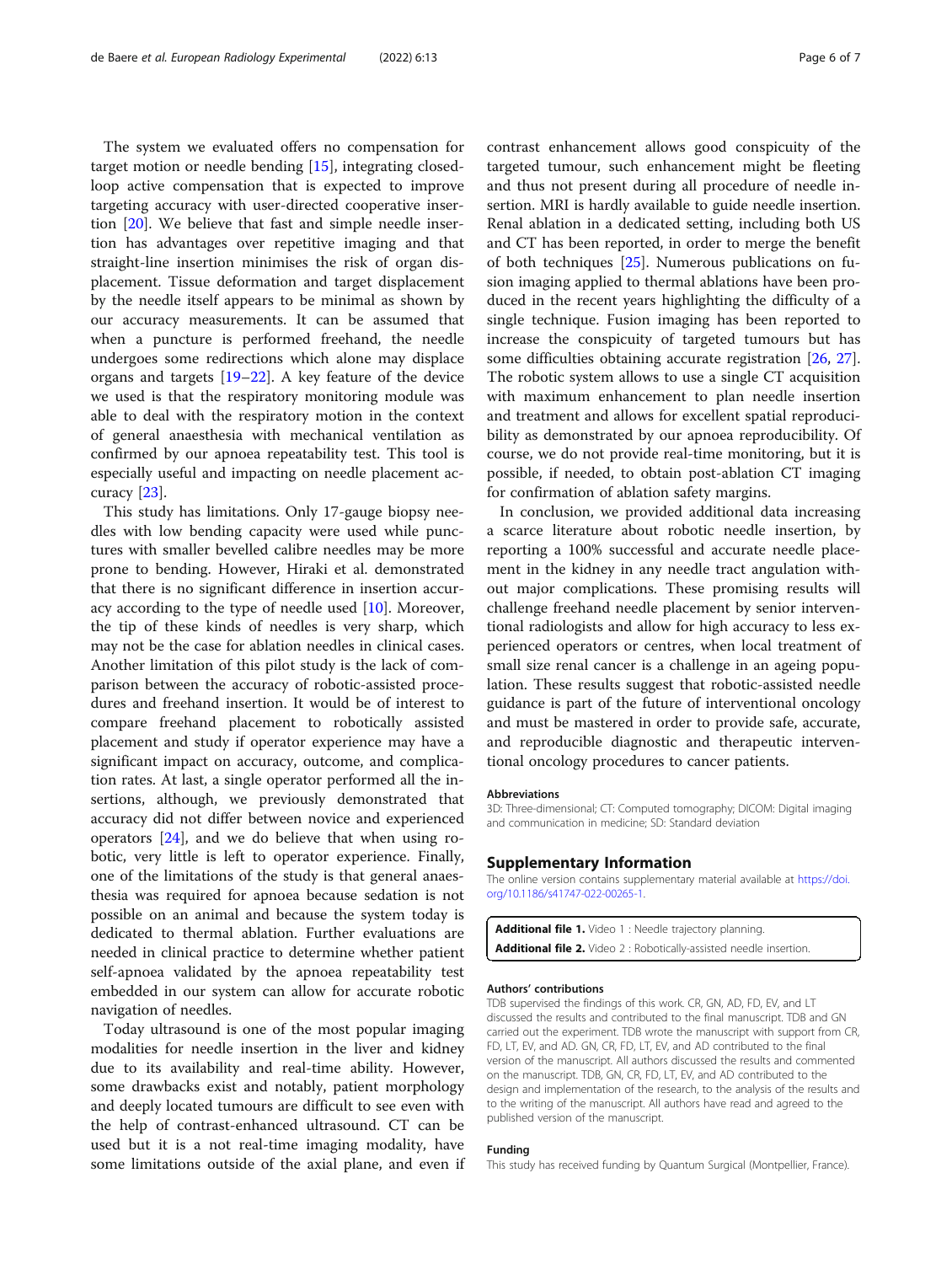<span id="page-5-0"></span>The system we evaluated offers no compensation for target motion or needle bending [\[15\]](#page-6-0), integrating closedloop active compensation that is expected to improve targeting accuracy with user-directed cooperative insertion [\[20\]](#page-6-0). We believe that fast and simple needle insertion has advantages over repetitive imaging and that straight-line insertion minimises the risk of organ displacement. Tissue deformation and target displacement by the needle itself appears to be minimal as shown by our accuracy measurements. It can be assumed that when a puncture is performed freehand, the needle undergoes some redirections which alone may displace organs and targets  $[19-22]$  $[19-22]$  $[19-22]$  $[19-22]$ . A key feature of the device we used is that the respiratory monitoring module was able to deal with the respiratory motion in the context of general anaesthesia with mechanical ventilation as confirmed by our apnoea repeatability test. This tool is especially useful and impacting on needle placement accuracy [\[23](#page-6-0)].

This study has limitations. Only 17-gauge biopsy needles with low bending capacity were used while punctures with smaller bevelled calibre needles may be more prone to bending. However, Hiraki et al. demonstrated that there is no significant difference in insertion accuracy according to the type of needle used [\[10\]](#page-6-0). Moreover, the tip of these kinds of needles is very sharp, which may not be the case for ablation needles in clinical cases. Another limitation of this pilot study is the lack of comparison between the accuracy of robotic-assisted procedures and freehand insertion. It would be of interest to compare freehand placement to robotically assisted placement and study if operator experience may have a significant impact on accuracy, outcome, and complication rates. At last, a single operator performed all the insertions, although, we previously demonstrated that accuracy did not differ between novice and experienced operators [[24\]](#page-6-0), and we do believe that when using robotic, very little is left to operator experience. Finally, one of the limitations of the study is that general anaesthesia was required for apnoea because sedation is not possible on an animal and because the system today is dedicated to thermal ablation. Further evaluations are needed in clinical practice to determine whether patient self-apnoea validated by the apnoea repeatability test embedded in our system can allow for accurate robotic navigation of needles.

Today ultrasound is one of the most popular imaging modalities for needle insertion in the liver and kidney due to its availability and real-time ability. However, some drawbacks exist and notably, patient morphology and deeply located tumours are difficult to see even with the help of contrast-enhanced ultrasound. CT can be used but it is a not real-time imaging modality, have some limitations outside of the axial plane, and even if contrast enhancement allows good conspicuity of the targeted tumour, such enhancement might be fleeting and thus not present during all procedure of needle insertion. MRI is hardly available to guide needle insertion. Renal ablation in a dedicated setting, including both US and CT has been reported, in order to merge the benefit of both techniques [\[25](#page-6-0)]. Numerous publications on fusion imaging applied to thermal ablations have been produced in the recent years highlighting the difficulty of a single technique. Fusion imaging has been reported to increase the conspicuity of targeted tumours but has some difficulties obtaining accurate registration [\[26,](#page-6-0) [27](#page-6-0)]. The robotic system allows to use a single CT acquisition with maximum enhancement to plan needle insertion and treatment and allows for excellent spatial reproducibility as demonstrated by our apnoea reproducibility. Of course, we do not provide real-time monitoring, but it is possible, if needed, to obtain post-ablation CT imaging for confirmation of ablation safety margins.

In conclusion, we provided additional data increasing a scarce literature about robotic needle insertion, by reporting a 100% successful and accurate needle placement in the kidney in any needle tract angulation without major complications. These promising results will challenge freehand needle placement by senior interventional radiologists and allow for high accuracy to less experienced operators or centres, when local treatment of small size renal cancer is a challenge in an ageing population. These results suggest that robotic-assisted needle guidance is part of the future of interventional oncology and must be mastered in order to provide safe, accurate, and reproducible diagnostic and therapeutic interventional oncology procedures to cancer patients.

#### Abbreviations

3D: Three-dimensional; CT: Computed tomography; DICOM: Digital imaging and communication in medicine; SD: Standard deviation

#### Supplementary Information

The online version contains supplementary material available at [https://doi.](https://doi.org/10.1186/s41747-022-00265-1) [org/10.1186/s41747-022-00265-1.](https://doi.org/10.1186/s41747-022-00265-1)

```
Additional file 1. Video 1 : Needle trajectory planning.
Additional file 2. Video 2 : Robotically-assisted needle insertion.
```
#### Authors' contributions

TDB supervised the findings of this work. CR, GN, AD, FD, EV, and LT discussed the results and contributed to the final manuscript. TDB and GN carried out the experiment. TDB wrote the manuscript with support from CR, FD, LT, EV, and AD. GN, CR, FD, LT, EV, and AD contributed to the final version of the manuscript. All authors discussed the results and commented on the manuscript. TDB, GN, CR, FD, LT, EV, and AD contributed to the design and implementation of the research, to the analysis of the results and to the writing of the manuscript. All authors have read and agreed to the published version of the manuscript.

#### Funding

This study has received funding by Quantum Surgical (Montpellier, France).